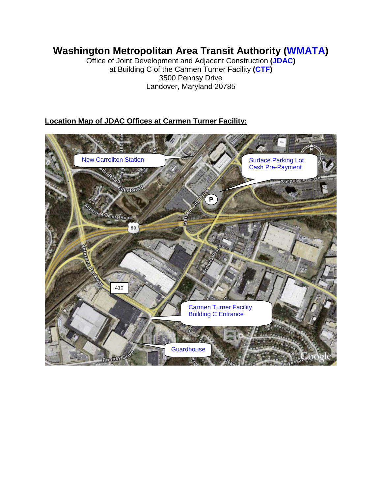## **Washington Metropolitan Area Transit Authority (WMATA)**

Office of Joint Development and Adjacent Construction **(JDAC)** at Building C of the Carmen Turner Facility **(CTF)** 3500 Pennsy Drive Landover, Maryland 20785

## **Location Map of JDAC Offices at Carmen Turner Facility:**